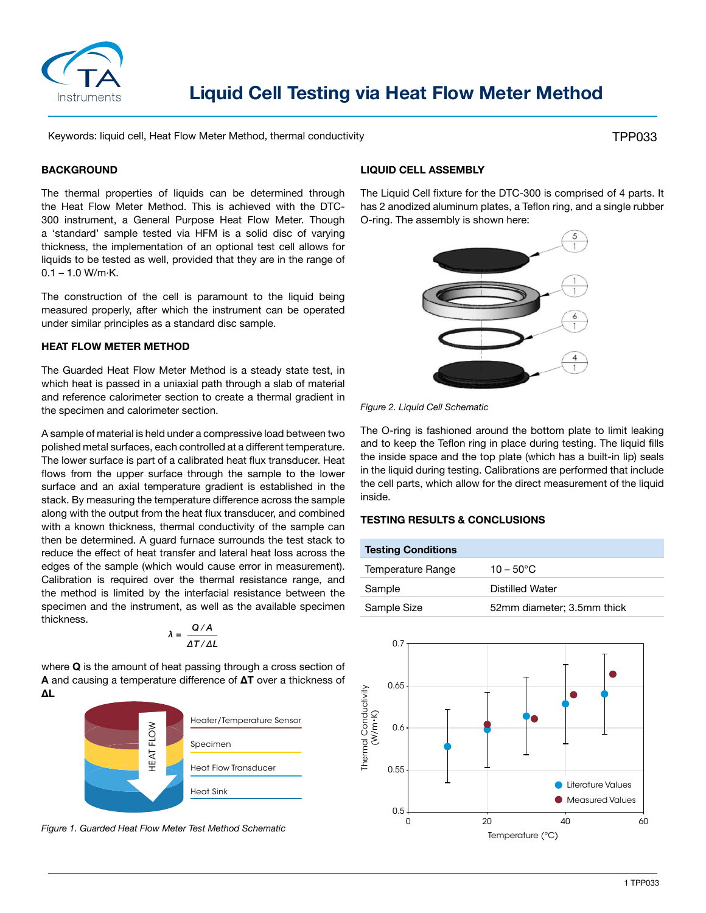

# **Liquid Cell Testing via Heat Flow Meter Method**

Keywords: liquid cell, Heat Flow Meter Method, thermal conductivity

TPP033

#### **BACKGROUND**

The thermal properties of liquids can be determined through the Heat Flow Meter Method. This is achieved with the DTC-300 instrument, a General Purpose Heat Flow Meter. Though a 'standard' sample tested via HFM is a solid disc of varying thickness, the implementation of an optional test cell allows for liquids to be tested as well, provided that they are in the range of  $0.1 - 1.0 W/m·K.$ 

The construction of the cell is paramount to the liquid being measured properly, after which the instrument can be operated under similar principles as a standard disc sample.

#### **HEAT FLOW METER METHOD**

The Guarded Heat Flow Meter Method is a steady state test, in which heat is passed in a uniaxial path through a slab of material and reference calorimeter section to create a thermal gradient in the specimen and calorimeter section.

A sample of material is held under a compressive load between two polished metal surfaces, each controlled at a different temperature. The lower surface is part of a calibrated heat flux transducer. Heat flows from the upper surface through the sample to the lower surface and an axial temperature gradient is established in the stack. By measuring the temperature difference across the sample along with the output from the heat flux transducer, and combined with a known thickness, thermal conductivity of the sample can then be determined. A guard furnace surrounds the test stack to reduce the effect of heat transfer and lateral heat loss across the edges of the sample (which would cause error in measurement). Calibration is required over the thermal resistance range, and the method is limited by the interfacial resistance between the specimen and the instrument, as well as the available specimen thickness.

$$
\lambda = \frac{Q/A}{\Delta T/\Delta L}
$$

where **Q** is the amount of heat passing through a cross section of **A** and causing a temperature difference of **ΔT** over a thickness of **ΔL**



*Figure 1. Guarded Heat Flow Meter Test Method Schematic*

## **LIQUID CELL ASSEMBLY**

The Liquid Cell fixture for the DTC-300 is comprised of 4 parts. It has 2 anodized aluminum plates, a Teflon ring, and a single rubber O-ring. The assembly is shown here:



*Figure 2. Liquid Cell Schematic* 

The O-ring is fashioned around the bottom plate to limit leaking and to keep the Teflon ring in place during testing. The liquid fills the inside space and the top plate (which has a built-in lip) seals in the liquid during testing. Calibrations are performed that include the cell parts, which allow for the direct measurement of the liquid inside.

### **TESTING RESULTS & CONCLUSIONS**

| <b>Testing Conditions</b> |                            |
|---------------------------|----------------------------|
| Temperature Range         | $10 - 50^{\circ}$ C        |
| Sample                    | Distilled Water            |
| Sample Size               | 52mm diameter; 3.5mm thick |